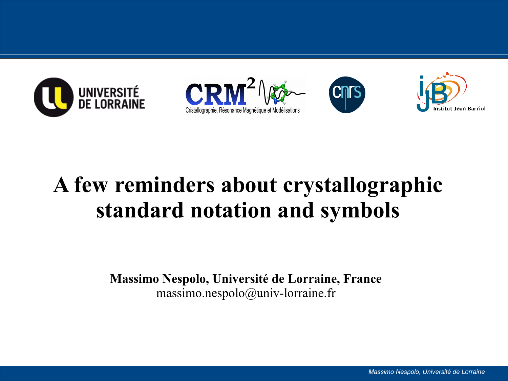







## **A few reminders about crystallographic standard notation and symbols**

**Massimo Nespolo, Université de Lorraine, France** massimo.nespolo@univ-lorraine.fr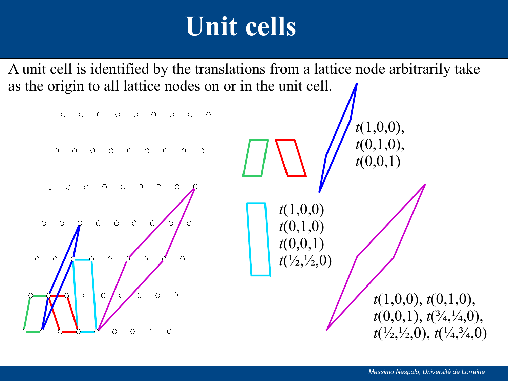# **Unit cells**

A unit cell is identified by the translations from a lattice node arbitrarily take as the origin to all lattice nodes on or in the unit cell.

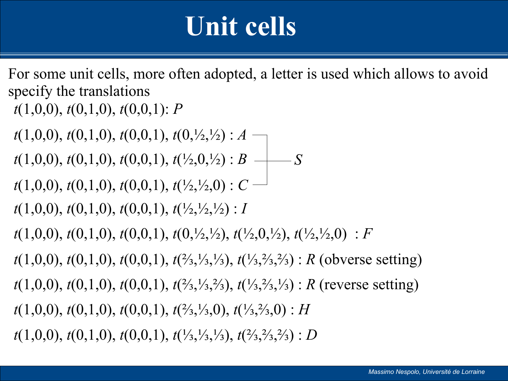# **Unit cells**

For some unit cells, more often adopted, a letter is used which allows to avoid specify the translations

*t*(1,0,0), *t*(0,1,0), *t*(0,0,1): *P*

*t*(1,0,0), *t*(0,1,0), *t*(0,0,1), *t*(0,½,½) : *A* —

*t*(1,0,0), *t*(0,1,0), *t*(0,0,1), *t*(½,0,½) : *B*  $\longrightarrow$  *S* 

*t*(1,0,0), *t*(0,1,0), *t*(0,0,1), *t*( $\frac{1}{2}$ , $\frac{1}{2}$ ,0) : *C* -

*t*(1,0,0), *t*(0,1,0), *t*(0,0,1), *t*(½,½,½) : *I*

*t*(1,0,0), *t*(0,1,0), *t*(0,0,1), *t*(0,½,½), *t*(½,0,½), *t*(½,½,0) : *F*

*t*(1,0,0), *t*(0,1,0), *t*(0,0,1), *t*(⅔,⅓,⅓), *t*(⅓,⅔,⅔) : *R* (obverse setting)

*t*(1,0,0), *t*(0,1,0), *t*(0,0,1), *t*(⅔,⅓,⅔), *t*(⅓,⅔,⅓) : *R* (reverse setting)

*t*(1,0,0), *t*(0,1,0), *t*(0,0,1), *t*(⅔,⅓,0), *t*(⅓,⅔,0) : *H*

*t*(1,0,0), *t*(0,1,0), *t*(0,0,1), *t*(⅓,⅓,⅓), *t*(⅔,⅔,⅔) : *D*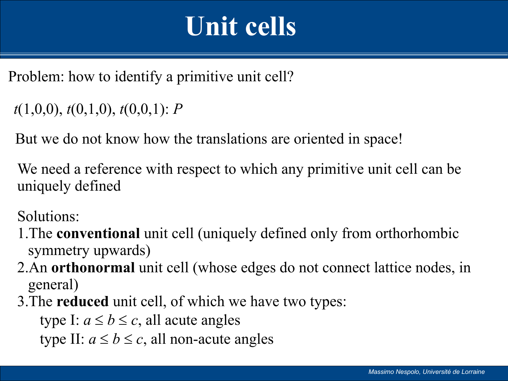# **Unit cells**

Problem: how to identify a primitive unit cell?

```
t(1,0,0), t(0,1,0), t(0,0,1): P
```
But we do not know how the translations are oriented in space!

We need a reference with respect to which any primitive unit cell can be uniquely defined

Solutions:

- 1.The **conventional** unit cell (uniquely defined only from orthorhombic symmetry upwards)
- 2.An **orthonormal** unit cell (whose edges do not connect lattice nodes, in general)
- 3.The **reduced** unit cell, of which we have two types:

type I:  $a \le b \le c$ , all acute angles

type II:  $a \le b \le c$ , all non-acute angles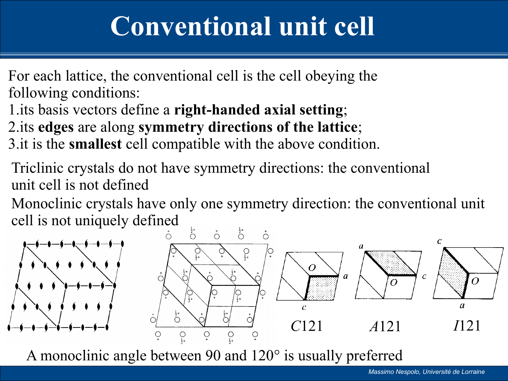# **Conventional unit cell**

For each lattice, the conventional cell is the cell obeying the following conditions:

1.its basis vectors define a **right-handed axial setting**;

2.its **edges** are along **symmetry directions of the lattice**;

3.it is the **smallest** cell compatible with the above condition.

Triclinic crystals do not have symmetry directions: the conventional unit cell is not defined

Monoclinic crystals have only one symmetry direction: the conventional unit cell is not uniquely defined



A monoclinic angle between 90 and 120° is usually preferred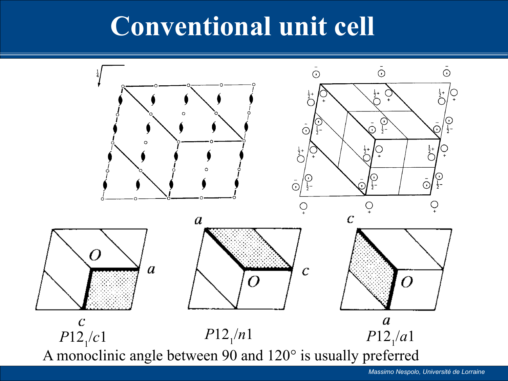# **Conventional unit cell**

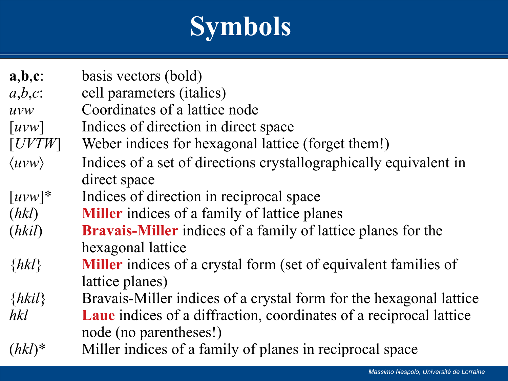# **Symbols**

| $a,b,c$ :<br>$a,b,c$ : | basis vectors (bold)<br>cell parameters ( <i>italics</i> )                                          |
|------------------------|-----------------------------------------------------------------------------------------------------|
| UVW                    | Coordinates of a lattice node                                                                       |
| $\lceil uvw\rceil$     | Indices of direction in direct space                                                                |
| [UVTW]                 | Weber indices for hexagonal lattice (forget them!)                                                  |
| $\langle uvw\rangle$   | Indices of a set of directions crystallographically equivalent in<br>direct space                   |
| $\lceil uvw\rceil^*$   | Indices of direction in reciprocal space                                                            |
| (hkl)                  | <b>Miller</b> indices of a family of lattice planes                                                 |
| (hki)                  | <b>Bravais-Miller</b> indices of a family of lattice planes for the<br>hexagonal lattice            |
| $\{hkl\}$              | <b>Miller</b> indices of a crystal form (set of equivalent families of<br>lattice planes)           |
| $\{h\&i\}$             | Bravais-Miller indices of a crystal form for the hexagonal lattice                                  |
| hkl                    | <b>Laue</b> indices of a diffraction, coordinates of a reciprocal lattice<br>node (no parentheses!) |
| $(hkl)^*$              | Miller indices of a family of planes in reciprocal space                                            |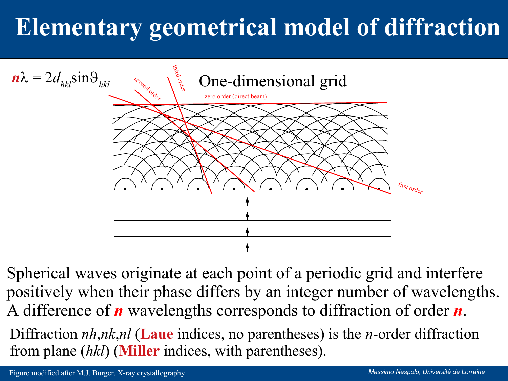# **Elementary geometrical model of diffraction**



Spherical waves originate at each point of a periodic grid and interfere positively when their phase differs by an integer number of wavelengths. A difference of *n* wavelengths corresponds to diffraction of order *n*.

Diffraction *nh*,*nk*,*nl* (**Laue** indices, no parentheses) is the *n*-order diffraction from plane (*hkl*) (**Miller** indices, with parentheses).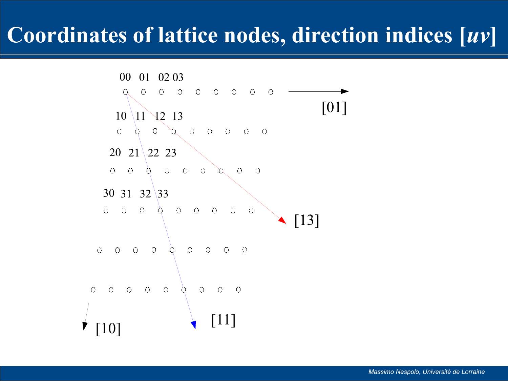#### **Coordinates of lattice nodes, direction indices [***uv***]**

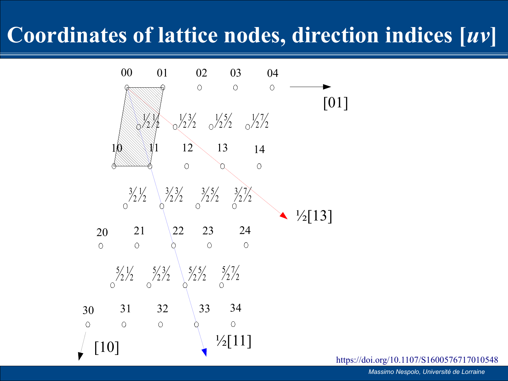## **Coordinates of lattice nodes, direction indices [***uv***]**



<https://doi.org/10.1107/S1600576717010548>

*Massimo Nespolo, Université de Lorraine*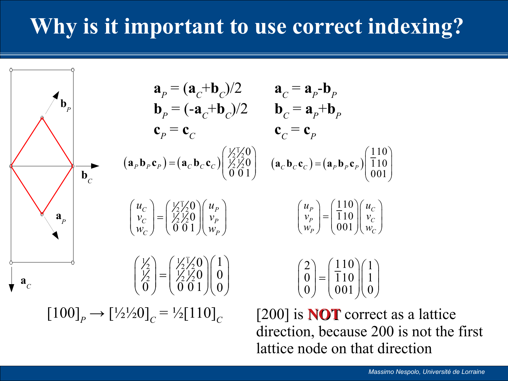## **Why is it important to use correct indexing?**

$$
\mathbf{a}_{P} = (\mathbf{a}_{C} + \mathbf{b}_{C})/2 \qquad \mathbf{a}_{C} = \mathbf{a}_{P} - \mathbf{b}_{P}
$$
\n
$$
\mathbf{b}_{P} = (-\mathbf{a}_{C} + \mathbf{b}_{C})/2 \qquad \mathbf{b}_{C} = \mathbf{a}_{P} + \mathbf{b}_{P}
$$
\n
$$
\mathbf{c}_{P} = \mathbf{c}_{C} \qquad \mathbf{c}_{C} = \mathbf{c}_{P}
$$
\n
$$
(\mathbf{a}_{P}\mathbf{b}_{P}\mathbf{c}_{P}) = (\mathbf{a}_{C}\mathbf{b}_{C}\mathbf{c}_{C})\begin{pmatrix} \frac{\sqrt{2}}{2} & \frac{\sqrt{2}}{2} \\ \frac{\sqrt{2}}{2} & \frac{\sqrt{2}}{2} \\ \frac{\sqrt{2}}{2} & \frac{\sqrt{2}}{2} \end{pmatrix} \quad (\mathbf{a}_{C}\mathbf{b}_{C}\mathbf{c}_{C}) = (\mathbf{a}_{P}\mathbf{b}_{P}\mathbf{c}_{P})\begin{pmatrix} 110 \\ 110 \\ 001 \end{pmatrix}
$$
\n
$$
\mathbf{a}_{P}
$$
\n
$$
\mathbf{a}_{P}
$$
\n
$$
\begin{pmatrix} u_{C} \\ v_{C} \\ w_{C} \end{pmatrix} = \begin{pmatrix} \frac{\sqrt{2}}{2} & \frac{\sqrt{2}}{2} \\ \frac{\sqrt{2}}{2} & \frac{\sqrt{2}}{2} \\ \frac{\sqrt{2}}{2} & \frac{\sqrt{2}}{2} \end{pmatrix} \begin{pmatrix} u_{P} \\ v_{P} \\ w_{P} \end{pmatrix} \qquad \begin{pmatrix} u_{P} \\ v_{P} \\ w_{P} \end{pmatrix} = \begin{pmatrix} 110 \\ 110 \\ 001 \end{pmatrix} \begin{pmatrix} u_{C} \\ v_{C} \end{pmatrix}
$$
\n
$$
\mathbf{a}_{C}
$$
\n
$$
\mathbf{a}_{C}
$$
\n
$$
\mathbf{a}_{D}
$$
\n
$$
\mathbf{a}_{D}
$$
\n
$$
\mathbf{a}_{D}
$$
\n
$$
\mathbf{a}_{C}
$$
\n
$$
\mathbf{a}_{D}
$$
\n
$$
\mathbf{a}_{D}
$$
\n
$$
\mathbf{a
$$

a lattice direction, because 200 is not the first lattice node on that direction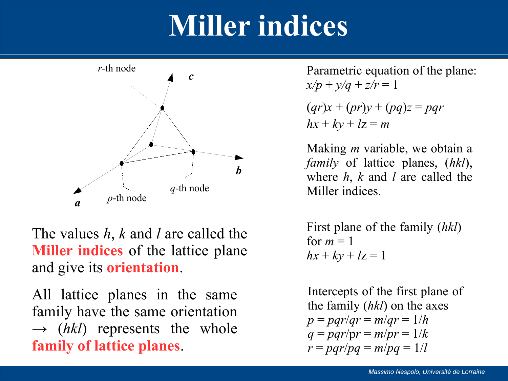# **Miller indices**



The values *h*, *k* and *l* are called the **Miller indices** of the lattice plane and give its **orientation**.

All lattice planes in the same family have the same orientation  $\rightarrow$  (*hkl*) represents the whole **family of lattice planes**.

 $x/p + y/q + z/r = 1$ 

$$
(qr)x + (pr)y + (pq)z = pqr
$$
  
hx + ky + lz = m

Making *m* variable, we obtain a *family* of lattice planes, (*hkl*), where *h*, *k* and *l* are called the Miller indices.

First plane of the family (*hkl*) for  $m = 1$  $hx + ky + lz = 1$ 

Intercepts of the first plane of the family (*hkl*) on the axes  $p = pqr/qr = m/qr = 1/h$  $q = pqr/pr = m/pr = 1/k$  $r = pqr/pq = m/pq = 1/l$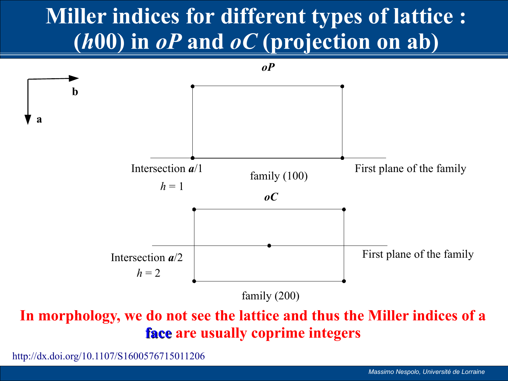## **Miller indices for different types of lattice : (***h***00) in** *oP* **and** *oC* **(projection on ab)**



**In morphology, we do not see the lattice and thus the Miller indices of a face are usually coprime integers**

<http://dx.doi.org/10.1107/S1600576715011206>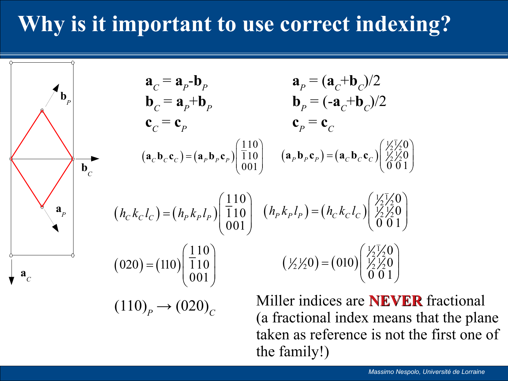#### **Why is it important to use correct indexing?**

 $\mathbf{a}_p = (\mathbf{a}_c + \mathbf{b}_c)/2$ **b**<sub>*P*</sub> =  $(-a_C + b_C)/2$  $\mathbf{c}_p = \mathbf{c}_c$  $\mathbf{a}_C = \mathbf{a}_P - \mathbf{b}_P$ **<sup>***C***</sup> =**  $**a**$ **<sup>+</sup>** $**b**$ **<sup>***P***</sup>**  $\mathbf{c}_C = \mathbf{c}_P$  $(\mathbf{a}_P \mathbf{b}_P \mathbf{c}_P) = (\mathbf{a}_C \mathbf{b}_C \mathbf{c}_C)$  $\frac{1}{2}$  $\frac{1}{2}$  $\frac{1}{2}$ 0 0  $\left[\begin{array}{c} \rho \mathbf{v}_P \mathbf{v}_P - (\mathbf{a}_C \mathbf{v}_C \mathbf{v}_C) & \frac{\sqrt{2720}}{21} \\ 0 & 0 & 1 \end{array}\right]$  $\left(\frac{1}{2}\right)_{2}^{1}\left(0\right)$  $(\mathbf{a}_C \mathbf{b}_C \mathbf{c}_C) = (\mathbf{a}_P \mathbf{b}_P \mathbf{c}_P) \begin{bmatrix} \overline{1} 10 \\ 001 \end{bmatrix} \quad (\mathbf{a}_P \mathbf{b}_P \mathbf{c}_P) = (\mathbf{a}_C \mathbf{b}_C \mathbf{c}_C) \begin{bmatrix} \frac{\overline{1}}{2} & \frac{\overline{1}}{2} & 0 \\ 0 & 0 & 1 \end{bmatrix}$ 110 110  $\left[\frac{\partial \mathbf{v}_C \mathbf{v}_C}{\partial \mathbf{v}_P} - \left(\frac{\mathbf{a}_P \mathbf{v}_P \mathbf{v}_P}{\partial \mathbf{v}_P}\right)\right] \begin{bmatrix} 1 & 1 & 0 \\ 0 & 0 & 1 \end{bmatrix}$  $(110)$  $\mathbf{a}_C \mathbf{b}_C \mathbf{c}_C = (\mathbf{a}_P \mathbf{b}_P \mathbf{c}_P) \begin{bmatrix} \overline{1} & 1 & 0 \\ 0 & 0 & 1 \end{bmatrix}$  $(h_{P}k_{P}l_{P}) = (h_{C}k_{C}l_{C})$  $\frac{1}{2}$  $2/2$  $\frac{1}{2}$  $272$ 0 0  $\overline{0}$   $\overline{0}$  1  $(h_{P} k_{P} l_{P}) = (h_{C} k_{C} l_{C})$  $\left(\frac{1}{2}\right)^{1/2}0$  $(h_{C}k_{C}l_{C}) = (h_{P}k_{P}l_{P})\begin{bmatrix} 1 & 10 \\ 0 & 01 \end{bmatrix}$   $(h_{P}k_{P}l_{P}) = (h_{C}k_{C}l_{C})\begin{bmatrix} \frac{1}{2} & \frac{1}{2} & 0 \\ 0 & 0 & 1 \end{bmatrix}$ 110 110 001  $h_{C} k_{C} l_{C}$  ) =  $(h_{P} k_{P} l_{P})$  $(110)$  $=\left(h_{P}k_{P}l_{P}\right)\left(\begin{array}{c}\overline{1}10\\001\end{array}\right)$  $(\frac{1}{2}\frac{1}{2}0) = (010)$  $\frac{1}{2}$  $272$  $1/2$  1/2 0 = (010)  $1/2$  1/2  $(272^{\circ}) - (010^{\circ})$   $(272^{\circ})$ 0  $0 = (010) \left| \frac{1}{2} \right| \frac{1}{2} = 0$  $\overline{0}$   $\overline{0}$  1  $\left(\frac{1}{2}\right)^{1/2}0$  $(020) = (110) \begin{bmatrix} 110 \\ 001 \end{bmatrix}$   $(\frac{1}{2}\frac{1}{20}) = (010) \begin{bmatrix} \frac{1}{2} & \frac{1}{2} & 0 \\ 0 & 0 & 1 \end{bmatrix}$ 110  $(020) = (110) | 110$ 001  $(110)$  $=(110)\begin{pmatrix} 110 \\ 001 \end{pmatrix}$ 

 $(110)<sub>P</sub> \rightarrow (020)<sub>C</sub>$ 

 $\mathbf{b}_c$ 

**b** *P*

**a** *P*

**a** *C*

Miller indices are **NEVER** fractional (a fractional index means that the plane taken as reference is not the first one of the family!)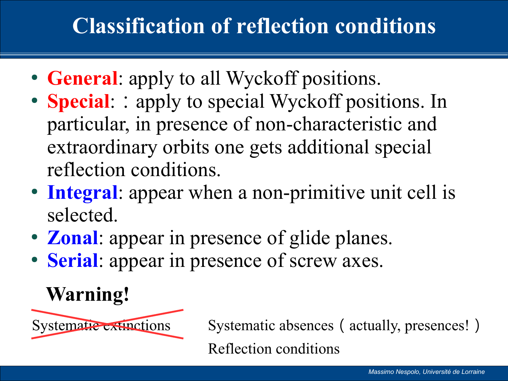## **Classification of reflection conditions**

- **General**: apply to all Wyckoff positions.
- **Special:**: apply to special Wyckoff positions. In particular, in presence of non-characteristic and extraordinary orbits one gets additional special reflection conditions.
- **Integral**: appear when a non-primitive unit cell is selected.
- **Zonal**: appear in presence of glide planes.
- **Serial**: appear in presence of screw axes.

## **Warning!**



Systematic extinctions Systematic absences (actually, presences!) Reflection conditions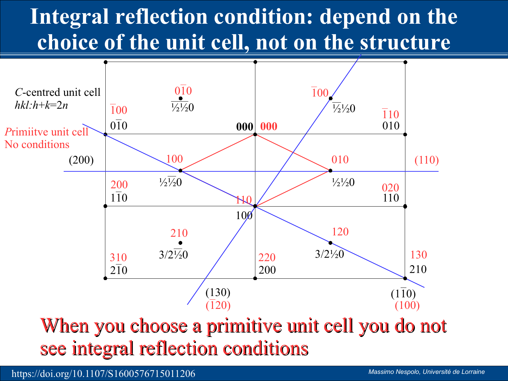## **Integral reflection condition: depend on the choice of the unit cell, not on the structure**



When you choose a primitive unit cell you do not see integral reflection conditions

https://doi.org/10.1107/S1600576715011206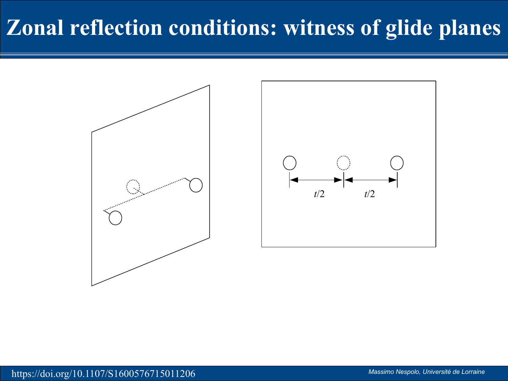### **Zonal reflection conditions: witness of glide planes**

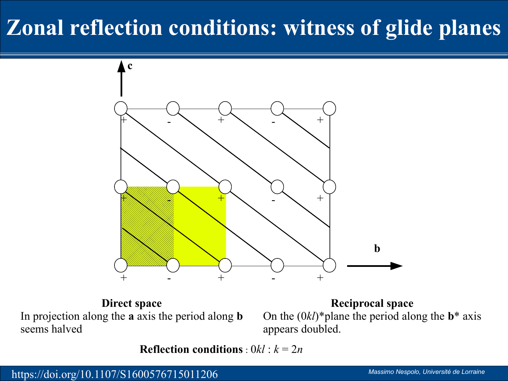## **Zonal reflection conditions: witness of glide planes**



**Direct space** In projection along the **a** axis the period along **b** seems halved

**Reciprocal space** On the  $(0k)$ <sup>\*</sup> plane the period along the **b**<sup>\*</sup> axis appears doubled.

**Reflection conditions** :  $0kl$  :  $k = 2n$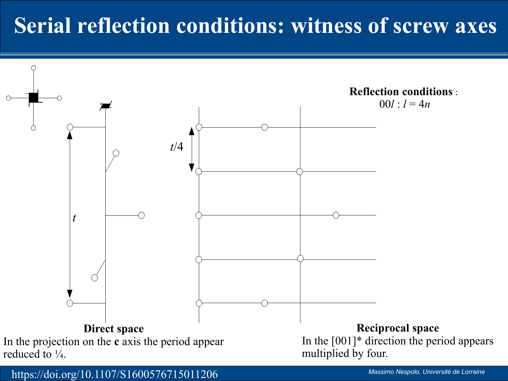### **Serial reflection conditions: witness of screw axes**



https://doi.org/10.1107/S1600576715011206